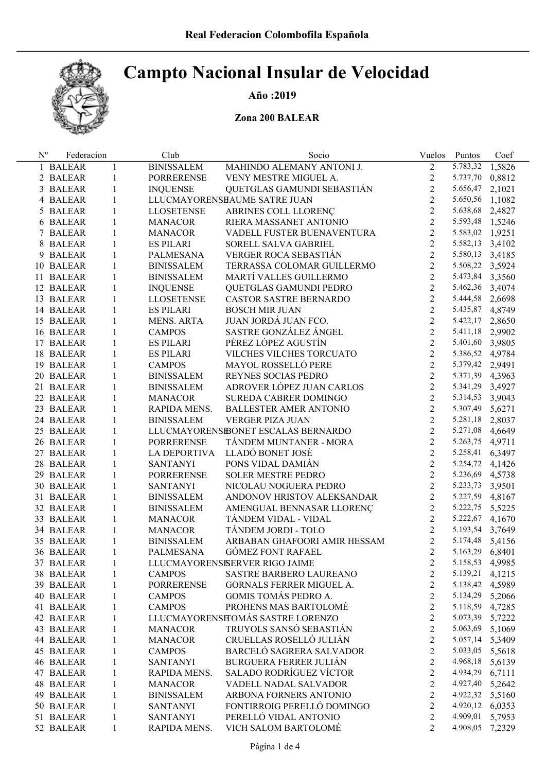# Año :2019

## Zona 200 BALEAR

| $N^{\rm o}$ | Federacion |              | Club              | Socio                               | Vuelos         | Puntos          | Coef   |
|-------------|------------|--------------|-------------------|-------------------------------------|----------------|-----------------|--------|
|             | 1 BALEAR   | $\mathbf{1}$ | <b>BINISSALEM</b> | MAHINDO ALEMANY ANTONI J.           | $\overline{2}$ | 5.783,32 1,5826 |        |
|             | 2 BALEAR   | $\mathbf{1}$ | PORRERENSE        | VENY MESTRE MIGUEL A.               | $\overline{2}$ | 5.737,70 0,8812 |        |
|             | 3 BALEAR   | 1            | <b>INQUENSE</b>   | QUETGLAS GAMUNDI SEBASTIÁN          | $\overline{2}$ | 5.656,47        | 2,1021 |
|             | 4 BALEAR   | $\mathbf{1}$ |                   | LLUCMAYORENSHAUME SATRE JUAN        | $\overline{2}$ | 5.650,56 1,1082 |        |
|             | 5 BALEAR   | $\mathbf{1}$ | <b>LLOSETENSE</b> | ABRINES COLL LLORENÇ                | $\overline{2}$ | 5.638,68 2,4827 |        |
|             | 6 BALEAR   | 1            | MANACOR           | RIERA MASSANET ANTONIO              | $\overline{2}$ | 5.593,48 1,5246 |        |
|             | 7 BALEAR   | 1            | MANACOR           | VADELL FUSTER BUENAVENTURA          | $\overline{2}$ | 5.583,02 1,9251 |        |
|             | 8 BALEAR   | $\mathbf{1}$ | <b>ES PILARI</b>  | SORELL SALVA GABRIEL                | $\overline{2}$ | 5.582,13 3,4102 |        |
|             | 9 BALEAR   | $\mathbf{1}$ | PALMESANA         | VERGER ROCA SEBASTIÁN               | $\overline{2}$ | 5.580,13 3,4185 |        |
|             | 10 BALEAR  | 1            | <b>BINISSALEM</b> | TERRASSA COLOMAR GUILLERMO          | $\overline{2}$ | 5.508,22 3,5924 |        |
|             | 11 BALEAR  | 1            | <b>BINISSALEM</b> | MARTÍ VALLES GUILLERMO              | $\overline{2}$ | 5.473,84 3,3560 |        |
|             | 12 BALEAR  | 1            | <b>INQUENSE</b>   | QUETGLAS GAMUNDI PEDRO              | $\overline{2}$ | 5.462,36 3,4074 |        |
|             | 13 BALEAR  | 1            | <b>LLOSETENSE</b> | CASTOR SASTRE BERNARDO              | $\overline{2}$ | 5.444,58 2,6698 |        |
|             | 14 BALEAR  | 1            | <b>ES PILARI</b>  | <b>BOSCH MIR JUAN</b>               | $\overline{2}$ | 5.435,87 4,8749 |        |
|             | 15 BALEAR  | 1            | MENS. ARTA        | JUAN JORDÁ JUAN FCO.                | $\overline{2}$ | 5.422,17 2,8650 |        |
|             | 16 BALEAR  | 1            | <b>CAMPOS</b>     | SASTRE GONZÁLEZ ÁNGEL               | $\overline{2}$ | 5.411,18 2,9902 |        |
|             | 17 BALEAR  | 1            | <b>ES PILARI</b>  | PÉREZ LÓPEZ AGUSTÍN                 | $\overline{2}$ | 5.401,60 3,9805 |        |
|             | 18 BALEAR  | 1            | <b>ES PILARI</b>  | VILCHES VILCHES TORCUATO            | $\overline{2}$ | 5.386,52 4,9784 |        |
|             | 19 BALEAR  | 1            | <b>CAMPOS</b>     | MAYOL ROSSELLÓ PERE                 | $\overline{2}$ | 5.379,42 2,9491 |        |
|             | 20 BALEAR  | 1            | <b>BINISSALEM</b> | REYNES SOCIAS PEDRO                 | $\overline{2}$ | 5.371,39 4,3963 |        |
|             | 21 BALEAR  | $\mathbf{1}$ | <b>BINISSALEM</b> | ADROVER LÓPEZ JUAN CARLOS           | $\overline{2}$ | 5.341,29 3,4927 |        |
|             | 22 BALEAR  | $\mathbf{1}$ | <b>MANACOR</b>    | SUREDA CABRER DOMINGO               | $\overline{2}$ | 5.314,53 3,9043 |        |
|             | 23 BALEAR  | $\mathbf{1}$ | RAPIDA MENS.      | <b>BALLESTER AMER ANTONIO</b>       | $\overline{2}$ | 5.307,49 5,6271 |        |
|             | 24 BALEAR  | $\mathbf{1}$ | <b>BINISSALEM</b> | VERGER PIZA JUAN                    | $\overline{2}$ | 5.281,18 2,8037 |        |
|             | 25 BALEAR  | $\mathbf{1}$ |                   | LLUCMAYORENSIBONET ESCALAS BERNARDO | $\overline{2}$ | 5.271,08 4,6649 |        |
|             | 26 BALEAR  | $\mathbf{1}$ | <b>PORRERENSE</b> | TÁNDEM MUNTANER - MORA              | $\overline{2}$ | 5.263,75 4,9711 |        |
|             | 27 BALEAR  | $\mathbf{1}$ | LA DEPORTIVA      | LLADÓ BONET JOSÉ                    | $\overline{2}$ | 5.258,41 6,3497 |        |
|             | 28 BALEAR  | $\mathbf{1}$ | <b>SANTANYI</b>   | PONS VIDAL DAMIAN                   | $\overline{2}$ | 5.254,72 4,1426 |        |
|             | 29 BALEAR  | $\mathbf{1}$ | PORRERENSE        | <b>SOLER MESTRE PEDRO</b>           | $\overline{2}$ | 5.236,69 4,5738 |        |
|             | 30 BALEAR  | $\mathbf{1}$ | <b>SANTANYI</b>   | NICOLAU NOGUERA PEDRO               | $\overline{2}$ | 5.233,73 3,9501 |        |
|             | 31 BALEAR  | $\mathbf{1}$ | <b>BINISSALEM</b> | ANDONOV HRISTOV ALEKSANDAR          | $\overline{2}$ | 5.227,59 4,8167 |        |
|             | 32 BALEAR  | $\mathbf{1}$ | <b>BINISSALEM</b> | AMENGUAL BENNASAR LLORENÇ           | $\overline{2}$ | 5.222,75 5,5225 |        |
|             | 33 BALEAR  | $\mathbf{1}$ | MANACOR           | TÁNDEM VIDAL - VIDAL                | $\overline{2}$ | 5.222,67 4,1670 |        |
|             | 34 BALEAR  | $\mathbf{1}$ | MANACOR           | TÁNDEM JORDI - TOLO                 | $\overline{2}$ | 5.193,54 3,7649 |        |
|             | 35 BALEAR  | $\mathbf{1}$ | <b>BINISSALEM</b> | ARBABAN GHAFOORI AMIR HESSAM        | $\overline{2}$ | 5.174,48 5,4156 |        |
|             | 36 BALEAR  | 1            | PALMESANA         | <b>GÓMEZ FONT RAFAEL</b>            | $\overline{2}$ | 5.163,29 6,8401 |        |
|             | 37 BALEAR  | 1            |                   | LLUCMAYORENSISERVER RIGO JAIME      | 2              | 5.158,53        | 4,9985 |
|             | 38 BALEAR  | 1            | <b>CAMPOS</b>     | SASTRE BARBERO LAUREANO             | 2              | 5.139,21        | 4,1215 |
|             | 39 BALEAR  | 1            | <b>PORRERENSE</b> | GORNALS FERRER MIGUEL A.            | $\overline{c}$ | 5.138,42        | 4,5989 |
|             | 40 BALEAR  | 1            | <b>CAMPOS</b>     | GOMIS TOMÁS PEDRO A.                | $\overline{2}$ | 5.134,29 5,2066 |        |
|             | 41 BALEAR  | 1            | <b>CAMPOS</b>     | PROHENS MAS BARTOLOMÉ               | $\overline{c}$ | 5.118,59        | 4,7285 |
|             | 42 BALEAR  | 1            |                   | LLUCMAYORENSHOMÁS SASTRE LORENZO    | $\overline{c}$ | 5.073,39        | 5,7222 |
|             | 43 BALEAR  | 1            | <b>MANACOR</b>    | TRUYOLS SANSÓ SEBASTIÁN             | $\overline{c}$ | 5.063,69        | 5,1069 |
|             | 44 BALEAR  | 1            | <b>MANACOR</b>    | CRUELLAS ROSELLÓ JULIÁN             | $\overline{2}$ | 5.057,14 5,3409 |        |
|             | 45 BALEAR  | 1            | <b>CAMPOS</b>     | BARCELÓ SAGRERA SALVADOR            | $\overline{c}$ | 5.033,05 5,5618 |        |
|             | 46 BALEAR  | 1            | <b>SANTANYI</b>   | <b>BURGUERA FERRER JULIÁN</b>       | $\overline{2}$ | 4.968,18        | 5,6139 |
|             | 47 BALEAR  | 1            | RAPIDA MENS.      | SALADO RODRÍGUEZ VÍCTOR             | $\overline{c}$ | 4.934,29        | 6,7111 |
|             | 48 BALEAR  | $\mathbf{1}$ | <b>MANACOR</b>    | VADELL NADAL SALVADOR               | $\overline{c}$ | 4.927,40 5,2642 |        |
|             | 49 BALEAR  | 1            | <b>BINISSALEM</b> | ARBONA FORNERS ANTONIO              | $\overline{2}$ | 4.922,32 5,5160 |        |
|             | 50 BALEAR  | 1            | <b>SANTANYI</b>   | FONTIRROIG PERELLÓ DOMINGO          | $\overline{2}$ | 4.920,12        | 6,0353 |
|             | 51 BALEAR  | 1            | <b>SANTANYI</b>   | PERELLÓ VIDAL ANTONIO               | 2              | 4.909,01        | 5,7953 |
|             | 52 BALEAR  | $\mathbf{1}$ | RAPIDA MENS.      | VICH SALOM BARTOLOMÉ                | $\overline{2}$ | 4.908,05        | 7,2329 |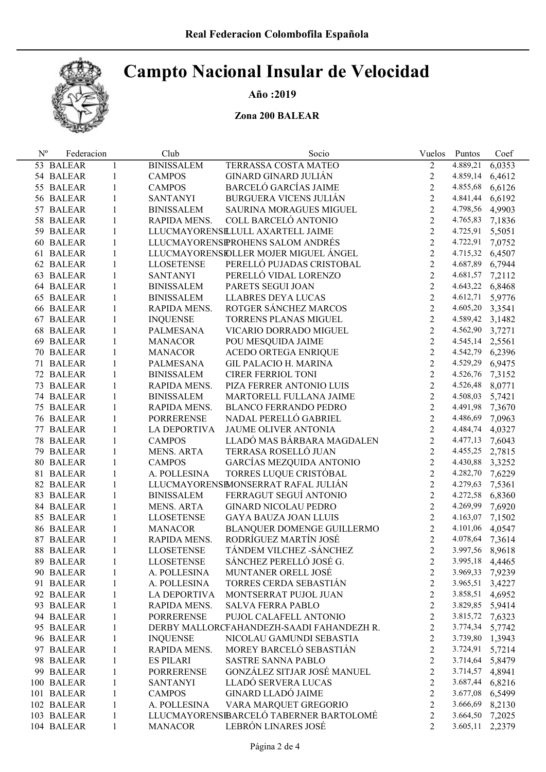# Año :2019

### Zona 200 BALEAR

| $N^{o}$ | Federacion |              | Club                | Socio                                     |                | Vuelos Puntos   | Coef   |
|---------|------------|--------------|---------------------|-------------------------------------------|----------------|-----------------|--------|
|         | 53 BALEAR  | 1            | <b>BINISSALEM</b>   | TERRASSA COSTA MATEO                      | $\overline{2}$ | 4.889,21        | 6,0353 |
|         | 54 BALEAR  | 1            | <b>CAMPOS</b>       | <b>GINARD GINARD JULIÁN</b>               | $\mathbf{2}$   | 4.859,14        | 6,4612 |
|         | 55 BALEAR  | 1            | <b>CAMPOS</b>       | <b>BARCELÓ GARCÍAS JAIME</b>              | $\overline{2}$ | 4.855,68        | 6,6126 |
|         | 56 BALEAR  | 1            | <b>SANTANYI</b>     | <b>BURGUERA VICENS JULIÁN</b>             | $\overline{2}$ | 4.841,44        | 6,6192 |
|         | 57 BALEAR  | $\mathbf{1}$ | <b>BINISSALEM</b>   | SAURINA MORAGUES MIGUEL                   | $\overline{2}$ | 4.798,56 4,9903 |        |
|         | 58 BALEAR  | 1            | RAPIDA MENS.        | COLL BARCELÓ ANTONIO                      | $\overline{2}$ | 4.765,83        | 7,1836 |
|         | 59 BALEAR  | $\mathbf{1}$ |                     | LLUCMAYORENSELULL AXARTELL JAIME          | $\overline{2}$ | 4.725,91        | 5,5051 |
|         | 60 BALEAR  | $\mathbf{1}$ |                     | LLUCMAYORENSPROHENS SALOM ANDRÉS          | $\overline{2}$ | 4.722,91        | 7,0752 |
|         | 61 BALEAR  | $\mathbf{1}$ |                     | LLUCMAYORENSIDLLER MOJER MIGUEL ÁNGEL     | $\overline{2}$ | 4.715,32 6,4507 |        |
|         | 62 BALEAR  | $\mathbf{1}$ | <b>LLOSETENSE</b>   | PERELLÓ PUJADAS CRISTOBAL                 | $\overline{2}$ | 4.687,89 6,7944 |        |
|         | 63 BALEAR  | 1            | <b>SANTANYI</b>     | PERELLÓ VIDAL LORENZO                     | $\overline{2}$ | 4.681,57 7,2112 |        |
|         | 64 BALEAR  | 1            | <b>BINISSALEM</b>   | PARETS SEGUI JOAN                         | $\overline{2}$ | 4.643,22 6,8468 |        |
|         | 65 BALEAR  | $\mathbf{1}$ | <b>BINISSALEM</b>   | LLABRES DEYA LUCAS                        | $\overline{2}$ | 4.612,71        | 5,9776 |
|         | 66 BALEAR  | 1            | RAPIDA MENS.        | ROTGER SÁNCHEZ MARCOS                     | $\overline{2}$ | 4.605,20 3,3541 |        |
|         | 67 BALEAR  | $\mathbf{1}$ | <b>INQUENSE</b>     | TORRENS PLANAS MIGUEL                     | $\overline{2}$ | 4.589,42 3,1482 |        |
|         | 68 BALEAR  | $\mathbf{1}$ | PALMESANA           | VICARIO DORRADO MIGUEL                    | $\overline{2}$ | 4.562,90        | 3,7271 |
|         | 69 BALEAR  | 1            | <b>MANACOR</b>      | POU MESQUIDA JAIME                        | $\overline{2}$ | 4.545,14        | 2,5561 |
|         | 70 BALEAR  | 1            | MANACOR             | ACEDO ORTEGA ENRIQUE                      | $\overline{2}$ | 4.542,79 6,2396 |        |
|         | 71 BALEAR  | $\mathbf{1}$ | PALMESANA           | <b>GIL PALACIO H. MARINA</b>              | $\overline{2}$ | 4.529,29 6,9475 |        |
|         | 72 BALEAR  | 1            | <b>BINISSALEM</b>   | <b>CIRER FERRIOL TONI</b>                 | $\overline{2}$ | 4.526,76        | 7,3152 |
|         | 73 BALEAR  | 1            | RAPIDA MENS.        | PIZA FERRER ANTONIO LUIS                  | $\overline{2}$ | 4.526,48        | 8,0771 |
|         | 74 BALEAR  | 1            | <b>BINISSALEM</b>   | MARTORELL FULLANA JAIME                   | $\overline{2}$ | 4.508,03        | 5,7421 |
|         | 75 BALEAR  | 1            | RAPIDA MENS.        | <b>BLANCO FERRANDO PEDRO</b>              | $\overline{2}$ | 4.491,98 7,3670 |        |
|         | 76 BALEAR  | 1            | PORRERENSE          | NADAL PERELLÓ GABRIEL                     | $\overline{2}$ | 4.486,69        | 7,0963 |
|         | 77 BALEAR  | 1            | LA DEPORTIVA        | JAUME OLIVER ANTONIA                      | $\overline{2}$ | 4.484,74        | 4,0327 |
|         | 78 BALEAR  | 1            | <b>CAMPOS</b>       | LLADÓ MAS BÁRBARA MAGDALEN                | $\overline{2}$ | 4.477,13        | 7,6043 |
|         | 79 BALEAR  | 1            | <b>MENS. ARTA</b>   | TERRASA ROSELLÓ JUAN                      | $\overline{2}$ | 4.455,25 2,7815 |        |
|         | 80 BALEAR  | $\mathbf{1}$ | <b>CAMPOS</b>       | GARCÍAS MEZQUIDA ANTONIO                  | $\overline{2}$ | 4.430,88 3,3252 |        |
|         | 81 BALEAR  | $\mathbf{1}$ | A. POLLESINA        | TORRES LUQUE CRISTÓBAL                    | $\overline{2}$ | 4.282,70        | 7,6229 |
|         | 82 BALEAR  | 1            |                     | LLUCMAYORENSIMONSERRAT RAFAL JULIÁN       | $\overline{2}$ | 4.279,63        | 7,5361 |
|         | 83 BALEAR  | $\mathbf{1}$ | <b>BINISSALEM</b>   | FERRAGUT SEGUÍ ANTONIO                    | $\overline{2}$ | 4.272,58 6,8360 |        |
|         | 84 BALEAR  | $\mathbf{1}$ | <b>MENS. ARTA</b>   | <b>GINARD NICOLAU PEDRO</b>               | $\overline{2}$ | 4.269,99        | 7,6920 |
|         | 85 BALEAR  | $\mathbf{1}$ | <b>LLOSETENSE</b>   | <b>GAYA BAUZA JOAN LLUIS</b>              | $\overline{2}$ | 4.163,07        | 7,1502 |
|         | 86 BALEAR  | 1            | <b>MANACOR</b>      | BLANQUER DOMENGE GUILLERMO                | $\overline{2}$ | 4.101,06 4,0547 |        |
|         | 87 BALEAR  | $\mathbf{1}$ | RAPIDA MENS.        | RODRÍGUEZ MARTÍN JOSÉ                     | $\overline{2}$ | 4.078,64        | 7,3614 |
|         | 88 BALEAR  | 1            | <b>LLOSETENSE</b>   | TÁNDEM VILCHEZ - SÁNCHEZ                  | $\overline{2}$ | 3.997,56 8,9618 |        |
|         | 89 BALEAR  | 1            | <b>LLOSETENSE</b>   | SÁNCHEZ PERELLÓ JOSÉ G.                   | $\overline{c}$ | 3.995,18        | 4,4465 |
|         | 90 BALEAR  | 1            | A. POLLESINA        | MUNTANER ORELL JOSÉ                       | 2              | 3.969,33        | 7,9239 |
|         | 91 BALEAR  | 1            | A. POLLESINA        | TORRES CERDA SEBASTIÁN                    | $\overline{c}$ | 3.965,51        | 3,4227 |
|         | 92 BALEAR  | 1            | <b>LA DEPORTIVA</b> | MONTSERRAT PUJOL JUAN                     | $\overline{c}$ | 3.858,51        | 4,6952 |
|         | 93 BALEAR  | 1            | RAPIDA MENS.        | <b>SALVA FERRA PABLO</b>                  | $\overline{c}$ | 3.829,85 5,9414 |        |
|         | 94 BALEAR  | $\mathbf{1}$ | <b>PORRERENSE</b>   | PUJOL CALAFELL ANTONIO                    | $\overline{2}$ | 3.815,72        | 7,6323 |
|         | 95 BALEAR  | 1            |                     | DERBY MALLORCFAHANDEZH-SAADI FAHANDEZH R. | $\overline{c}$ | 3.774,34        | 5,7742 |
|         | 96 BALEAR  | 1            | <b>INQUENSE</b>     | NICOLAU GAMUNDI SEBASTIA                  | $\overline{c}$ | 3.739,80 1,3943 |        |
|         | 97 BALEAR  | $\mathbf{1}$ | RAPIDA MENS.        | MOREY BARCELÓ SEBASTIÁN                   | $\overline{2}$ | 3.724,91        | 5,7214 |
|         | 98 BALEAR  | 1            | <b>ES PILARI</b>    | SASTRE SANNA PABLO                        | $\overline{c}$ | 3.714,64        | 5,8479 |
|         | 99 BALEAR  | 1            | <b>PORRERENSE</b>   | GONZÁLEZ SITJAR JOSÉ MANUEL               | $\overline{c}$ | 3.714,57        | 4,8941 |
|         | 100 BALEAR | $\mathbf{1}$ | <b>SANTANYI</b>     | LLADÓ SERVERA LUCAS                       | $\overline{2}$ | 3.687,44        | 6,8216 |
|         | 101 BALEAR | $\mathbf{1}$ | <b>CAMPOS</b>       | <b>GINARD LLADÓ JAIME</b>                 | $\overline{c}$ | 3.677,08 6,5499 |        |
|         | 102 BALEAR | 1            | A. POLLESINA        | VARA MARQUET GREGORIO                     | $\overline{2}$ | 3.666,69        | 8,2130 |
|         | 103 BALEAR | 1            |                     | LLUCMAYORENSEBARCELÓ TABERNER BARTOLOMÉ   | $\overline{c}$ | 3.664,50        | 7,2025 |
|         | 104 BALEAR | 1            | <b>MANACOR</b>      | LEBRÓN LINARES JOSÉ                       | 2              | 3.605,11        | 2,2379 |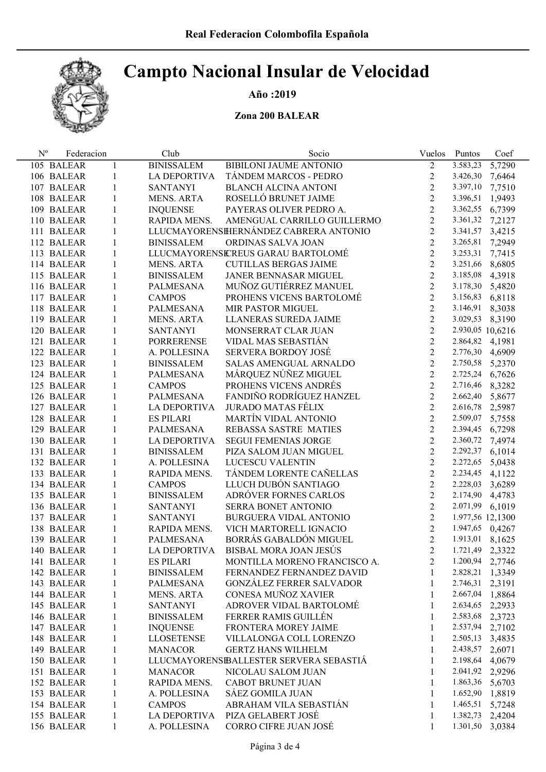# Año :2019

### Zona 200 BALEAR

| $N^{\rm o}$ | Federacion |              | Club                | Socio                                  | Vuelos         | Puntos           | Coef   |
|-------------|------------|--------------|---------------------|----------------------------------------|----------------|------------------|--------|
|             | 105 BALEAR | 1            | <b>BINISSALEM</b>   | BIBILONI JAUME ANTONIO                 | $\overline{2}$ | 3.583,23         | 5,7290 |
|             | 106 BALEAR | 1            | <b>LA DEPORTIVA</b> | TÁNDEM MARCOS - PEDRO                  | $\overline{2}$ | 3.426,30         | 7,6464 |
|             | 107 BALEAR | 1            | <b>SANTANYI</b>     | <b>BLANCH ALCINA ANTONI</b>            | $\overline{2}$ | 3.397,10         | 7,7510 |
|             | 108 BALEAR | $\mathbf{1}$ | MENS. ARTA          | ROSELLÓ BRUNET JAIME                   | 2              | 3.396,51 1,9493  |        |
|             | 109 BALEAR | $\mathbf{1}$ | <b>INQUENSE</b>     | PAYERAS OLIVER PEDRO A.                | 2              | 3.362,55 6,7399  |        |
|             | 110 BALEAR | $\mathbf{1}$ | RAPIDA MENS.        | AMENGUAL CARRILLO GUILLERMO            | $\overline{2}$ | 3.361,32 7,2127  |        |
|             | 111 BALEAR | 1            |                     | LLUCMAYORENSHERNÁNDEZ CABRERA ANTONIO  | $\overline{2}$ | 3.341,57 3,4215  |        |
|             | 112 BALEAR | 1            | <b>BINISSALEM</b>   | ORDINAS SALVA JOAN                     | $\overline{2}$ | 3.265,81 7,2949  |        |
|             | 113 BALEAR | 1            |                     | LLUCMAYORENSICREUS GARAU BARTOLOMÉ     | 2              | 3.253,31 7,7415  |        |
|             | 114 BALEAR | 1            | <b>MENS. ARTA</b>   | <b>CUTILLAS BERGAS JAIME</b>           | $\overline{2}$ | 3.251,66 8,6805  |        |
|             | 115 BALEAR | 1            | <b>BINISSALEM</b>   | JANER BENNASAR MIGUEL                  | $\overline{2}$ | 3.185,08 4,3918  |        |
|             | 116 BALEAR | 1            | PALMESANA           | MUÑOZ GUTIÉRREZ MANUEL                 | $\overline{2}$ | 3.178,30 5,4820  |        |
|             | 117 BALEAR | 1            | <b>CAMPOS</b>       | PROHENS VICENS BARTOLOMÉ               | $\overline{2}$ | 3.156,83 6,8118  |        |
|             | 118 BALEAR | 1            | PALMESANA           | MIR PASTOR MIGUEL                      | $\overline{2}$ | 3.146,91 8,3038  |        |
|             | 119 BALEAR | 1            | MENS. ARTA          | LLANERAS SUREDA JAIME                  | $\overline{2}$ | 3.029,53 8,3190  |        |
|             | 120 BALEAR | 1            | <b>SANTANYI</b>     | MONSERRAT CLAR JUAN                    | $\overline{2}$ | 2.930,05 10,6216 |        |
|             | 121 BALEAR | 1            | PORRERENSE          | VIDAL MAS SEBASTIÁN                    | $\overline{2}$ | 2.864,82 4,1981  |        |
|             | 122 BALEAR | 1            | A. POLLESINA        | <b>SERVERA BORDOY JOSÉ</b>             | 2              | 2.776,30 4,6909  |        |
|             | 123 BALEAR | 1            | <b>BINISSALEM</b>   | SALAS AMENGUAL ARNALDO                 | $\overline{2}$ | 2.750,58 5,2370  |        |
|             | 124 BALEAR | 1            | PALMESANA           | MÁRQUEZ NÚÑEZ MIGUEL                   | $\overline{2}$ | 2.725,24 6,7626  |        |
|             | 125 BALEAR | 1            | <b>CAMPOS</b>       | PROHENS VICENS ANDRÉS                  | $\overline{2}$ | 2.716,46 8,3282  |        |
|             | 126 BALEAR | 1            | PALMESANA           | FANDIÑO RODRÍGUEZ HANZEL               | $\overline{2}$ | 2.662,40 5,8677  |        |
|             | 127 BALEAR | 1            | LA DEPORTIVA        | <b>JURADO MATAS FÉLIX</b>              | $\overline{2}$ | 2.616,78 2,5987  |        |
|             | 128 BALEAR | 1            | <b>ES PILARI</b>    | MARTÍN VIDAL ANTONIO                   | $\overline{2}$ | 2.509,07         | 5,7558 |
|             | 129 BALEAR | 1            | PALMESANA           | REBASSA SASTRE MATIES                  | $\overline{2}$ | 2.394,45 6,7298  |        |
|             | 130 BALEAR | 1            | LA DEPORTIVA        | <b>SEGUI FEMENIAS JORGE</b>            | $\overline{2}$ | 2.360,72 7,4974  |        |
|             | 131 BALEAR | 1            | <b>BINISSALEM</b>   | PIZA SALOM JUAN MIGUEL                 | $\overline{2}$ | 2.292,37 6,1014  |        |
|             | 132 BALEAR | 1            | A. POLLESINA        | LUCESCU VALENTIN                       | 2              | 2.272,65 5,0438  |        |
|             | 133 BALEAR | 1            | RAPIDA MENS.        | TÁNDEM LORENTE CAÑELLAS                | 2              | 2.234,45 4,1122  |        |
|             | 134 BALEAR | 1            | <b>CAMPOS</b>       | LLUCH DUBÓN SANTIAGO                   | $\overline{2}$ | 2.228,03 3,6289  |        |
|             | 135 BALEAR | 1            | <b>BINISSALEM</b>   | ADRÓVER FORNES CARLOS                  | $\overline{2}$ | 2.174,90 4,4783  |        |
|             | 136 BALEAR | 1            | <b>SANTANYI</b>     | SERRA BONET ANTONIO                    | $\overline{2}$ | 2.071,99 6,1019  |        |
|             | 137 BALEAR | 1            | <b>SANTANYI</b>     | BURGUERA VIDAL ANTONIO                 | $\overline{2}$ | 1.977,56 12,1300 |        |
|             | 138 BALEAR | 1            | RAPIDA MENS.        | VICH MARTORELL IGNACIO                 | $\overline{2}$ | 1.947,65 0,4267  |        |
|             | 139 BALEAR | 1            | PALMESANA           | BORRÁS GABALDÓN MIGUEL                 | 2              | 1.913,01 8,1625  |        |
|             | 140 BALEAR | 1            | <b>LA DEPORTIVA</b> | BISBAL MORA JOAN JESÚS                 | 2              | 1.721,49 2,3322  |        |
|             | 141 BALEAR | 1            | <b>ES PILARI</b>    | MONTILLA MORENO FRANCISCO A.           | $\overline{2}$ | 1.200,94         | 2,7746 |
|             | 142 BALEAR | 1            | <b>BINISSALEM</b>   | FERNANDEZ FERNANDEZ DAVID              | 1              | 2.828,21         | 1,3349 |
|             | 143 BALEAR | 1            | <b>PALMESANA</b>    | <b>GONZÁLEZ FERRER SALVADOR</b>        | 1              | 2.746,31         | 2,3191 |
|             | 144 BALEAR | 1            | MENS. ARTA          | CONESA MUÑOZ XAVIER                    | 1              | 2.667,04         | 1,8864 |
|             | 145 BALEAR | 1            | <b>SANTANYI</b>     | ADROVER VIDAL BARTOLOMÉ                | 1              | 2.634,65         | 2,2933 |
|             | 146 BALEAR | 1            | <b>BINISSALEM</b>   | FERRER RAMIS GUILLÉN                   | 1              | 2.583,68         | 2,3723 |
|             | 147 BALEAR | 1            | <b>INQUENSE</b>     | FRONTERA MOREY JAIME                   | 1              | 2.537,94         | 2,7102 |
|             | 148 BALEAR | 1            | <b>LLOSETENSE</b>   | VILLALONGA COLL LORENZO                | 1              | 2.505,13         | 3,4835 |
|             | 149 BALEAR | 1            | <b>MANACOR</b>      | <b>GERTZ HANS WILHELM</b>              | 1              | 2.438,57         | 2,6071 |
|             | 150 BALEAR | 1            |                     | LLUCMAYORENSEALLESTER SERVERA SEBASTIÁ | 1              | 2.198,64         | 4,0679 |
|             | 151 BALEAR | 1            | <b>MANACOR</b>      | NICOLAU SALOM JUAN                     | 1              | 2.041,92         | 2,9296 |
|             | 152 BALEAR | 1            | RAPIDA MENS.        | CABOT BRUNET JUAN                      | 1              | 1.863,36         | 5,6703 |
|             | 153 BALEAR | 1            | A. POLLESINA        | SÁEZ GOMILA JUAN                       | 1              | 1.652,90         | 1,8819 |
|             | 154 BALEAR | 1            | <b>CAMPOS</b>       | ABRAHAM VILA SEBASTIÁN                 | 1              | 1.465,51         | 5,7248 |
|             | 155 BALEAR | 1            | LA DEPORTIVA        | PIZA GELABERT JOSÉ                     | 1              | 1.382,73         | 2,4204 |
|             | 156 BALEAR | 1            | A. POLLESINA        | CORRO CIFRE JUAN JOSÉ                  | 1              | 1.301,50         | 3,0384 |
|             |            |              |                     |                                        |                |                  |        |